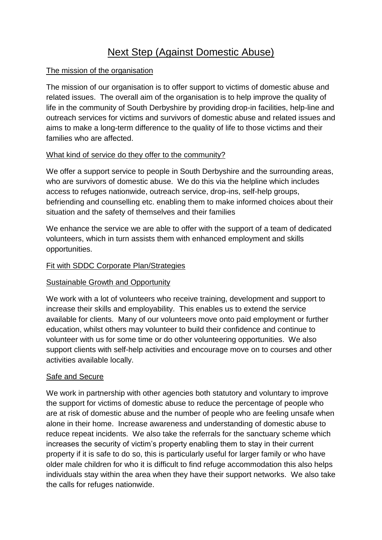# Next Step (Against Domestic Abuse)

## The mission of the organisation

The mission of our organisation is to offer support to victims of domestic abuse and related issues. The overall aim of the organisation is to help improve the quality of life in the community of South Derbyshire by providing drop-in facilities, help-line and outreach services for victims and survivors of domestic abuse and related issues and aims to make a long-term difference to the quality of life to those victims and their families who are affected.

# What kind of service do they offer to the community?

We offer a support service to people in South Derbyshire and the surrounding areas, who are survivors of domestic abuse. We do this via the helpline which includes access to refuges nationwide, outreach service, drop-ins, self-help groups, befriending and counselling etc. enabling them to make informed choices about their situation and the safety of themselves and their families

We enhance the service we are able to offer with the support of a team of dedicated volunteers, which in turn assists them with enhanced employment and skills opportunities.

# Fit with SDDC Corporate Plan/Strategies

### Sustainable Growth and Opportunity

We work with a lot of volunteers who receive training, development and support to increase their skills and employability. This enables us to extend the service available for clients. Many of our volunteers move onto paid employment or further education, whilst others may volunteer to build their confidence and continue to volunteer with us for some time or do other volunteering opportunities. We also support clients with self-help activities and encourage move on to courses and other activities available locally.

### Safe and Secure

We work in partnership with other agencies both statutory and voluntary to improve the support for victims of domestic abuse to reduce the percentage of people who are at risk of domestic abuse and the number of people who are feeling unsafe when alone in their home. Increase awareness and understanding of domestic abuse to reduce repeat incidents. We also take the referrals for the sanctuary scheme which increases the security of victim's property enabling them to stay in their current property if it is safe to do so, this is particularly useful for larger family or who have older male children for who it is difficult to find refuge accommodation this also helps individuals stay within the area when they have their support networks. We also take the calls for refuges nationwide.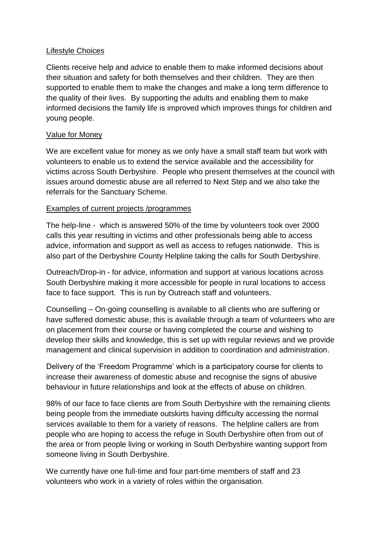#### Lifestyle Choices

Clients receive help and advice to enable them to make informed decisions about their situation and safety for both themselves and their children. They are then supported to enable them to make the changes and make a long term difference to the quality of their lives. By supporting the adults and enabling them to make informed decisions the family life is improved which improves things for children and young people.

#### Value for Money

We are excellent value for money as we only have a small staff team but work with volunteers to enable us to extend the service available and the accessibility for victims across South Derbyshire. People who present themselves at the council with issues around domestic abuse are all referred to Next Step and we also take the referrals for the Sanctuary Scheme.

### Examples of current projects /programmes

The help-line - which is answered 50% of the time by volunteers took over 2000 calls this year resulting in victims and other professionals being able to access advice, information and support as well as access to refuges nationwide. This is also part of the Derbyshire County Helpline taking the calls for South Derbyshire.

Outreach/Drop-in - for advice, information and support at various locations across South Derbyshire making it more accessible for people in rural locations to access face to face support. This is run by Outreach staff and volunteers.

Counselling – On-going counselling is available to all clients who are suffering or have suffered domestic abuse, this is available through a team of volunteers who are on placement from their course or having completed the course and wishing to develop their skills and knowledge, this is set up with regular reviews and we provide management and clinical supervision in addition to coordination and administration.

Delivery of the 'Freedom Programme' which is a participatory course for clients to increase their awareness of domestic abuse and recognise the signs of abusive behaviour in future relationships and look at the effects of abuse on children.

98% of our face to face clients are from South Derbyshire with the remaining clients being people from the immediate outskirts having difficulty accessing the normal services available to them for a variety of reasons. The helpline callers are from people who are hoping to access the refuge in South Derbyshire often from out of the area or from people living or working in South Derbyshire wanting support from someone living in South Derbyshire.

We currently have one full-time and four part-time members of staff and 23 volunteers who work in a variety of roles within the organisation.